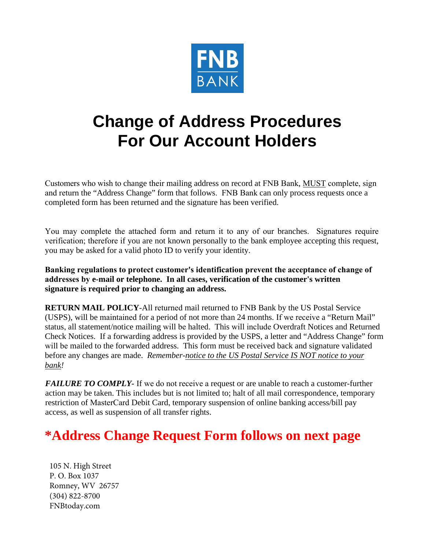

## **Change of Address Procedures For Our Account Holders**

Customers who wish to change their mailing address on record at FNB Bank, MUST complete, sign and return the "Address Change" form that follows. FNB Bank can only process requests once a completed form has been returned and the signature has been verified.

You may complete the attached form and return it to any of our branches. Signatures require verification; therefore if you are not known personally to the bank employee accepting this request, you may be asked for a valid photo ID to verify your identity.

**Banking regulations to protect customer's identification prevent the acceptance of change of addresses by e-mail or telephone. In all cases, verification of the customer's written signature is required prior to changing an address.** 

**RETURN MAIL POLICY**-All returned mail returned to FNB Bank by the US Postal Service (USPS), will be maintained for a period of not more than 24 months. If we receive a "Return Mail" status, all statement/notice mailing will be halted. This will include Overdraft Notices and Returned Check Notices. If a forwarding address is provided by the USPS, a letter and "Address Change" form will be mailed to the forwarded address. This form must be received back and signature validated before any changes are made. *Remember-notice to the US Postal Service IS NOT notice to your bank!*

*FAILURE TO COMPLY-* If we do not receive a request or are unable to reach a customer-further action may be taken. This includes but is not limited to; halt of all mail correspondence, temporary restriction of MasterCard Debit Card, temporary suspension of online banking access/bill pay access, as well as suspension of all transfer rights.

## **\*Address Change Request Form follows on next page**

105 N. High Street P. O. Box 1037 Romney, WV 26757 (304) 822-8700 FNBtoday.com